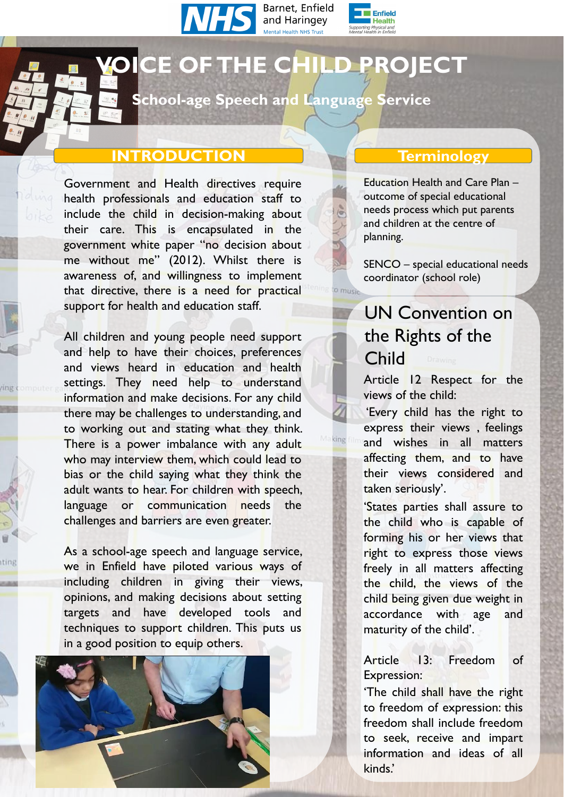





# **VOICE OF THE CHILD PROJECT**

Government and Health directives require health professionals and education staff to include the child in decision-making about their care. This is encapsulated in the government white paper "no decision about me without me" (2012). Whilst there is awareness of, and willingness to implement that directive, there is a need for practical support for health and education staff.

# **School-age Speech and Language Service**

# **INTRODUCTION Terminology**

 $\frac{1}{2}$ 

 $\bigotimes_{\text{Unimorphism}} \bigotimes_{\text{Infinite}} \mathsf{P}^{\mathsf{P}}$ 

 $e_{M}$ 

As a school-age speech and language service, we in Enfield have piloted various ways of including children in giving their views, opinions, and making decisions about setting targets and have developed tools and techniques to support children. This puts us

All children and young people need support and help to have their choices, preferences and views heard in education and health settings. They need help to understand information and make decisions. For any child there may be challenges to understanding, and to working out and stating what they think. There is a power imbalance with any adult who may interview them, which could lead to bias or the child saying what they think the adult wants to hear. For children with speech, language or communication needs the challenges and barriers are even greater.

#### in a good position to equip others.



UN Convention on the Rights of the Child Article 12 Respect for the views of the child: 'Every child has the right to express their views , feelings and wishes in all matters affecting them, and to have their views considered and taken seriously' .

'States parties shall assure to the child who is capable of forming his or her views that right to express those views freely in all matters affecting the child, the views of the child being given due weight in accordance with age and maturity of the child' .

Article 13: Freedom of Expression: 'The child shall have the right to freedom of expression: this freedom shall include freedom to seek, receive and impart information and ideas of all kinds. '

Education Health and Care Plan – outcome of special educational needs process which put parents and children at the centre of planning.

SENCO – special educational needs coordinator (school role)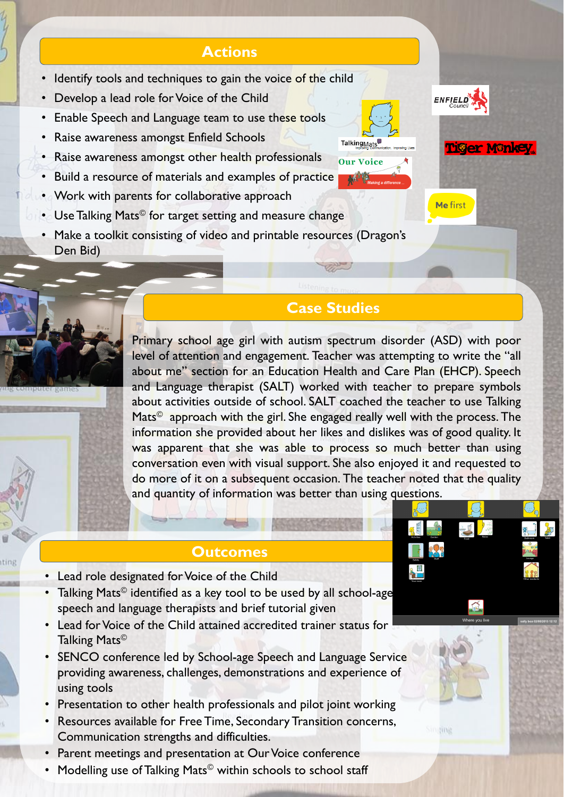# **Actions**

- Identify tools and techniques to gain the voice of the child
- Develop a lead role for Voice of the Child
- Enable Speech and Language team to use these tools
- Raise awareness amongst Enfield Schools
- Raise awareness amongst other health professionals
- Build a resource of materials and examples of practice
- Work with parents for collaborative approach
	-





**Me first** 

Tiger Mankey

BAAS

• Use Talking Mats<sup>©</sup> for target setting and measure change

# **Case Studies**

#### **Outcomes**

• Make a toolkit consisting of video and printable resources (Dragon's Den Bid)

- Lead role designated for Voice of the Child
- Talking Mats© identified as a key tool to be used by all school-age speech and language therapists and brief tutorial given
- Lead for Voice of the Child attained accredited trainer status for

- SENCO conference led by School-age Speech and Language Service providing awareness, challenges, demonstrations and experience of using tools
- Presentation to other health professionals and pilot joint working
- Resources available for Free Time, Secondary Transition concerns, Communication strengths and difficulties.
- Parent meetings and presentation at Our Voice conference
- Modelling use of Talking Mats<sup>©</sup> within schools to school staff

#### Talking Mats©

Primary school age girl with autism spectrum disorder (ASD) with poor level of attention and engagement. Teacher was attempting to write the "all about me" section for an Education Health and Care Plan (EHCP). Speech and Language therapist (SALT) worked with teacher to prepare symbols about activities outside of school. SALT coached the teacher to use Talking Mats<sup>©</sup> approach with the girl. She engaged really well with the process. The information she provided about her likes and dislikes was of good quality. It was apparent that she was able to process so much better than using conversation even with visual support. She also enjoyed it and requested to do more of it on a subsequent occasion. The teacher noted that the quality and quantity of information was better than using questions.